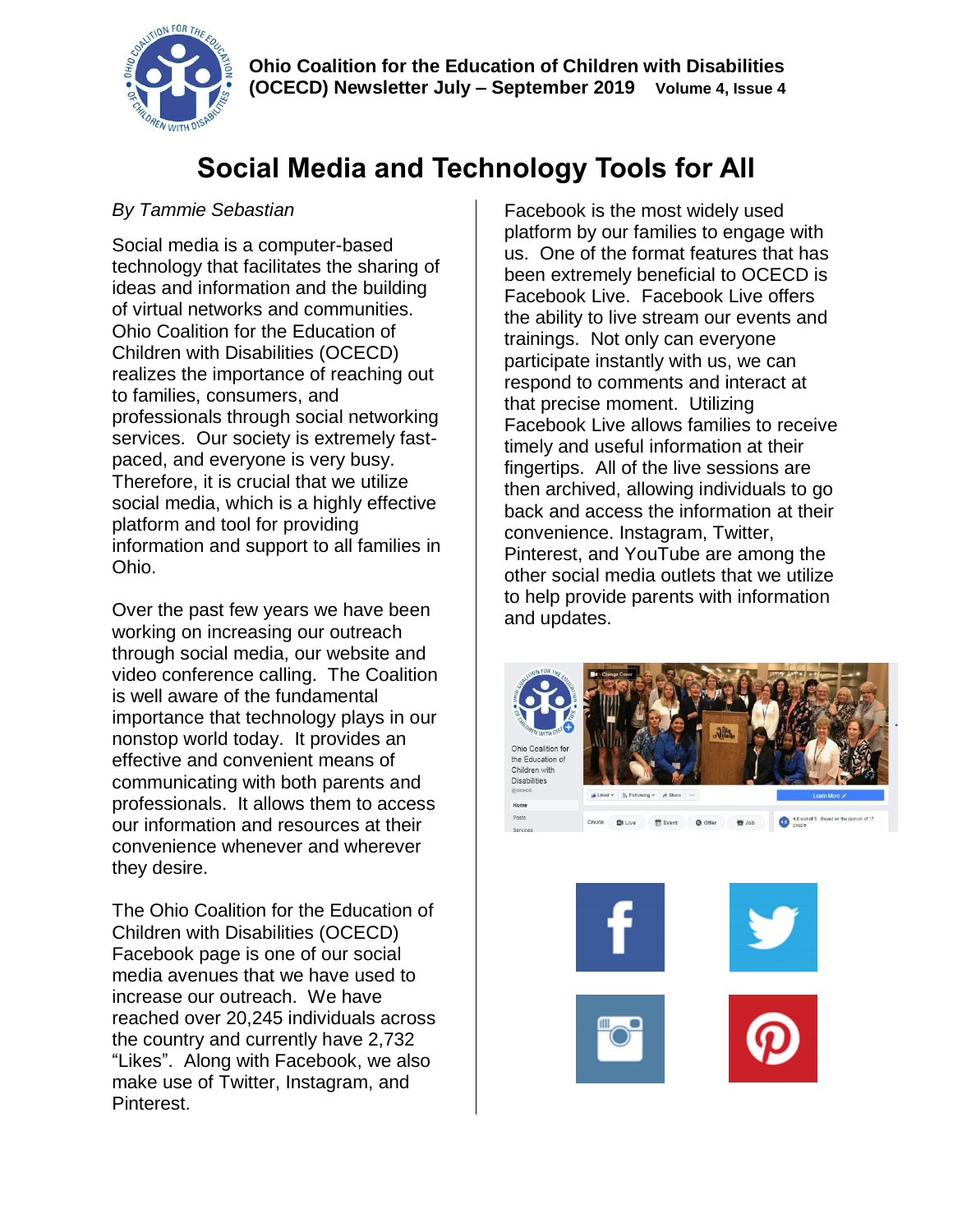

# **Social Media and Technology Tools for All**

### *By Tammie Sebastian*

Social media is a computer-based technology that facilitates the sharing of ideas and information and the building of virtual networks and communities. Ohio Coalition for the Education of Children with Disabilities (OCECD) realizes the importance of reaching out to families, consumers, and professionals through social networking services. Our society is extremely fastpaced, and everyone is very busy. Therefore, it is crucial that we utilize social media, which is a highly effective platform and tool for providing information and support to all families in Ohio.

Over the past few years we have been working on increasing our outreach through social media, our website and video conference calling. The Coalition is well aware of the fundamental importance that technology plays in our nonstop world today. It provides an effective and convenient means of communicating with both parents and professionals. It allows them to access our information and resources at their convenience whenever and wherever they desire.

The Ohio Coalition for the Education of Children with Disabilities (OCECD) Facebook page is one of our social media avenues that we have used to increase our outreach. We have reached over 20,245 individuals across the country and currently have 2,732 "Likes". Along with Facebook, we also make use of Twitter, Instagram, and Pinterest.

Facebook is the most widely used platform by our families to engage with us. One of the format features that has been extremely beneficial to OCECD is Facebook Live. Facebook Live offers the ability to live stream our events and trainings. Not only can everyone participate instantly with us, we can respond to comments and interact at that precise moment. Utilizing Facebook Live allows families to receive timely and useful information at their fingertips. All of the live sessions are then archived, allowing individuals to go back and access the information at their convenience. Instagram, Twitter, Pinterest, and YouTube are among the other social media outlets that we utilize to help provide parents with information and updates.



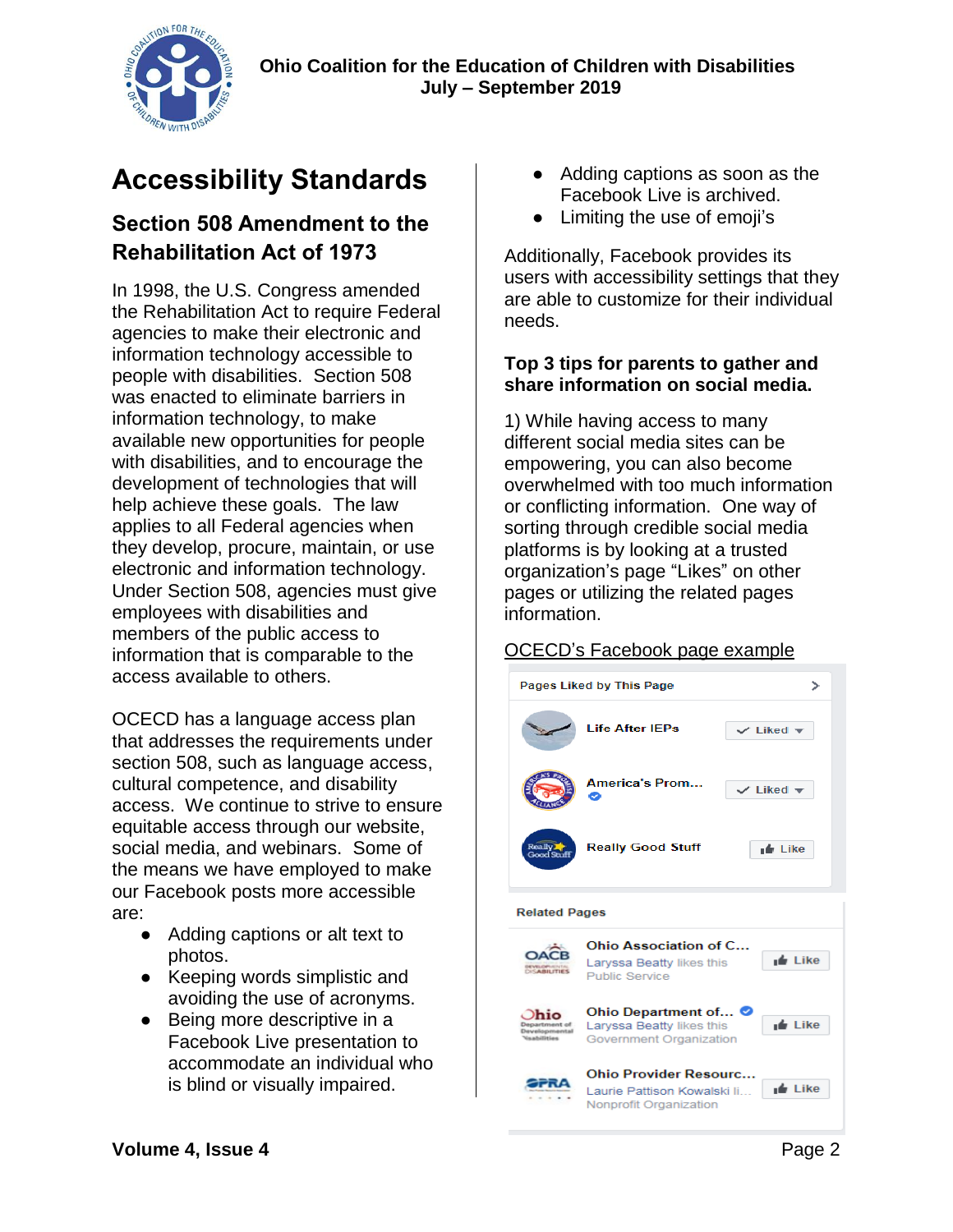

# **Accessibility Standards**

### **Section 508 Amendment to the Rehabilitation Act of 1973**

In 1998, the U.S. Congress amended the Rehabilitation Act to require Federal agencies to make their electronic and information technology accessible to people with disabilities. Section 508 was enacted to eliminate barriers in information technology, to make available new opportunities for people with disabilities, and to encourage the development of technologies that will help achieve these goals. The law applies to all Federal agencies when they develop, procure, maintain, or use electronic and information technology. Under Section 508, agencies must give employees with disabilities and members of the public access to information that is comparable to the access available to others.

OCECD has a language access plan that addresses the requirements under section 508, such as language access, cultural competence, and disability access. We continue to strive to ensure equitable access through our website, social media, and webinars. Some of the means we have employed to make our Facebook posts more accessible are:

- Adding captions or alt text to photos.
- Keeping words simplistic and avoiding the use of acronyms.
- Being more descriptive in a Facebook Live presentation to accommodate an individual who is blind or visually impaired.
- Adding captions as soon as the Facebook Live is archived.
- Limiting the use of emoji's

Additionally, Facebook provides its users with accessibility settings that they are able to customize for their individual needs.

#### **Top 3 tips for parents to gather and share information on social media.**

1) While having access to many different social media sites can be empowering, you can also become overwhelmed with too much information or conflicting information. One way of sorting through credible social media platforms is by looking at a trusted organization's page "Likes" on other pages or utilizing the related pages information.

#### OCECD's Facebook page example



#### **Related Pages**

Ohio Association of C... **OACB** Larvssa Beatty likes this  $\mathbf{r}$  Like **DEVILOPLANTAL Public Service** Ohio Department of...  $Dhio$ Laryssa Beatty likes this <sub>I</sub>⊯ Like Government Organization **Ohio Provider Resourc...** ∎∎ Like Laurie Pattison Kowalski li... Nonprofit Organization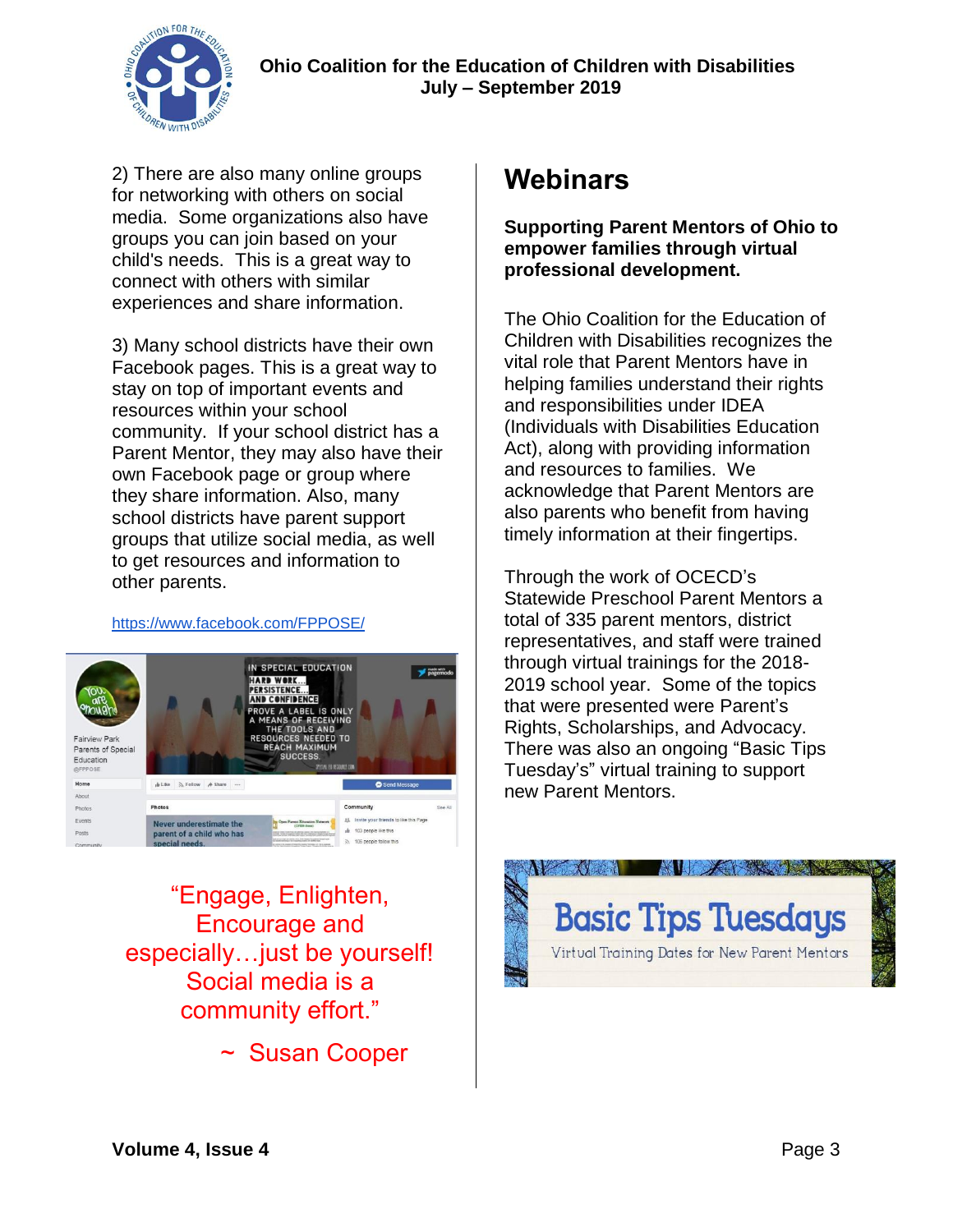

2) There are also many online groups for networking with others on social media. Some organizations also have groups you can join based on your child's needs. This is a great way to connect with others with similar experiences and share information.

3) Many school districts have their own Facebook pages. This is a great way to stay on top of important events and resources within your school community. If your school district has a Parent Mentor, they may also have their own Facebook page or group where they share information. Also, many school districts have parent support groups that utilize social media, as well to get resources and information to other parents.

#### <https://www.facebook.com/FPPOSE/>



"Engage, Enlighten, Encourage and especially…just be yourself! Social media is a community effort."

~ Susan Cooper

### **Webinars**

**Supporting Parent Mentors of Ohio to empower families through virtual professional development.**

The Ohio Coalition for the Education of Children with Disabilities recognizes the vital role that Parent Mentors have in helping families understand their rights and responsibilities under IDEA (Individuals with Disabilities Education Act), along with providing information and resources to families. We acknowledge that Parent Mentors are also parents who benefit from having timely information at their fingertips.

Through the work of OCECD's Statewide Preschool Parent Mentors a total of 335 parent mentors, district representatives, and staff were trained through virtual trainings for the 2018- 2019 school year. Some of the topics that were presented were Parent's Rights, Scholarships, and Advocacy. There was also an ongoing "Basic Tips Tuesday's" virtual training to support new Parent Mentors.